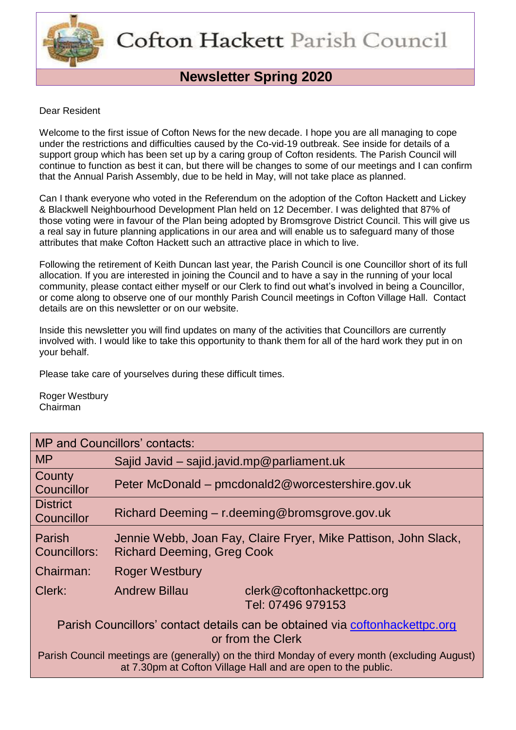

# **Newsletter Spring 2020**

### Dear Resident

Welcome to the first issue of Cofton News for the new decade. I hope you are all managing to cope under the restrictions and difficulties caused by the Co-vid-19 outbreak. See inside for details of a support group which has been set up by a caring group of Cofton residents. The Parish Council will continue to function as best it can, but there will be changes to some of our meetings and I can confirm that the Annual Parish Assembly, due to be held in May, will not take place as planned.

Can I thank everyone who voted in the Referendum on the adoption of the Cofton Hackett and Lickey & Blackwell Neighbourhood Development Plan held on 12 December. I was delighted that 87% of those voting were in favour of the Plan being adopted by Bromsgrove District Council. This will give us a real say in future planning applications in our area and will enable us to safeguard many of those attributes that make Cofton Hackett such an attractive place in which to live.

Following the retirement of Keith Duncan last year, the Parish Council is one Councillor short of its full allocation. If you are interested in joining the Council and to have a say in the running of your local community, please contact either myself or our Clerk to find out what's involved in being a Councillor, or come along to observe one of our monthly Parish Council meetings in Cofton Village Hall. Contact details are on this newsletter or on our website.

Inside this newsletter you will find updates on many of the activities that Councillors are currently involved with. I would like to take this opportunity to thank them for all of the hard work they put in on your behalf.

Please take care of yourselves during these difficult times.

Roger Westbury Chairman

| <b>MP and Councillors' contacts:</b>                                                                                                                          |                                                                                                      |  |  |
|---------------------------------------------------------------------------------------------------------------------------------------------------------------|------------------------------------------------------------------------------------------------------|--|--|
| M <sub>P</sub>                                                                                                                                                | Sajid Javid $-$ sajid.javid.mp@parliament.uk                                                         |  |  |
| County<br>Councillor                                                                                                                                          | Peter McDonald – pmcdonald2@worcestershire.gov.uk                                                    |  |  |
| <b>District</b><br>Councillor                                                                                                                                 | Richard Deeming – r.deeming@bromsgrove.gov.uk                                                        |  |  |
| Parish<br>Councillors:                                                                                                                                        | Jennie Webb, Joan Fay, Claire Fryer, Mike Pattison, John Slack,<br><b>Richard Deeming, Greg Cook</b> |  |  |
| Chairman:                                                                                                                                                     | <b>Roger Westbury</b>                                                                                |  |  |
| Clerk:                                                                                                                                                        | <b>Andrew Billau</b><br>clerk@coftonhackettpc.org<br>Tel: 07496 979153                               |  |  |
| Parish Councillors' contact details can be obtained via coftonhackettpc.org<br>or from the Clerk                                                              |                                                                                                      |  |  |
| Parish Council meetings are (generally) on the third Monday of every month (excluding August)<br>at 7.30pm at Cofton Village Hall and are open to the public. |                                                                                                      |  |  |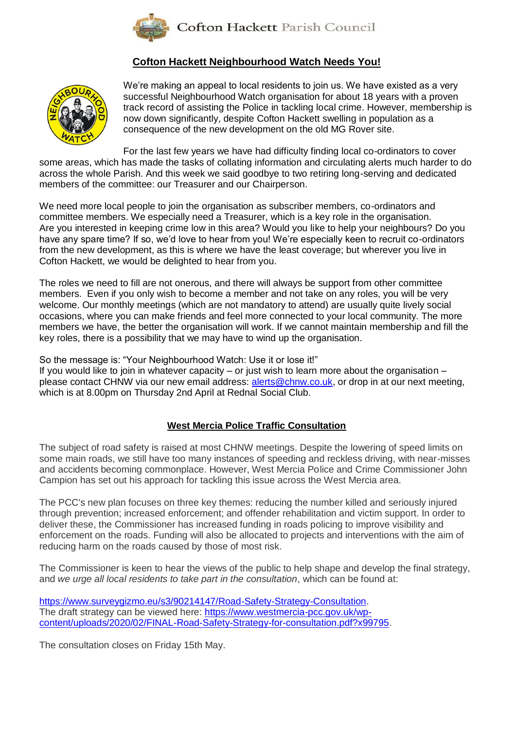

### **Cofton Hackett Neighbourhood Watch Needs You!**



We're making an appeal to local residents to join us. We have existed as a very successful Neighbourhood Watch organisation for about 18 years with a proven track record of assisting the Police in tackling local crime. However, membership is now down significantly, despite Cofton Hackett swelling in population as a consequence of the new development on the old MG Rover site.

For the last few years we have had difficulty finding local co-ordinators to cover some areas, which has made the tasks of collating information and circulating alerts much harder to do across the whole Parish. And this week we said goodbye to two retiring long-serving and dedicated members of the committee: our Treasurer and our Chairperson.

We need more local people to join the organisation as subscriber members, co-ordinators and committee members. We especially need a Treasurer, which is a key role in the organisation. Are you interested in keeping crime low in this area? Would you like to help your neighbours? Do you have any spare time? If so, we'd love to hear from you! We're especially keen to recruit co-ordinators from the new development, as this is where we have the least coverage; but wherever you live in Cofton Hackett, we would be delighted to hear from you.

The roles we need to fill are not onerous, and there will always be support from other committee members. Even if you only wish to become a member and not take on any roles, you will be very welcome. Our monthly meetings (which are not mandatory to attend) are usually quite lively social occasions, where you can make friends and feel more connected to your local community. The more members we have, the better the organisation will work. If we cannot maintain membership and fill the key roles, there is a possibility that we may have to wind up the organisation.

So the message is: "Your Neighbourhood Watch: Use it or lose it!"

If you would like to join in whatever capacity – or just wish to learn more about the organisation – please contact CHNW via our new email address: [alerts@chnw.co.uk,](mailto:alerts@chnw.co.uk) or drop in at our next meeting, which is at 8.00pm on Thursday 2nd April at Rednal Social Club.

### **West Mercia Police Traffic Consultation**

The subject of road safety is raised at most CHNW meetings. Despite the lowering of speed limits on some main roads, we still have too many instances of speeding and reckless driving, with near-misses and accidents becoming commonplace. However, West Mercia Police and Crime Commissioner John Campion has set out his approach for tackling this issue across the West Mercia area.

The PCC's new plan focuses on three key themes: reducing the number killed and seriously injured through prevention; increased enforcement; and offender rehabilitation and victim support. In order to deliver these, the Commissioner has increased funding in roads policing to improve visibility and enforcement on the roads. Funding will also be allocated to projects and interventions with the aim of reducing harm on the roads caused by those of most risk.

The Commissioner is keen to hear the views of the public to help shape and develop the final strategy, and *we urge all local residents to take part in the consultation*, which can be found at:

[https://www.surveygizmo.eu/s3/90214147/Road-Safety-Strategy-Consultation.](https://www.surveygizmo.eu/s3/90214147/Road-Safety-Strategy-Consultation) The draft strategy can be viewed here: [https://www.westmercia-pcc.gov.uk/wp](https://www.westmercia-pcc.gov.uk/wp-content/uploads/2020/02/FINAL-Road-Safety-Strategy-for-consultation.pdf?x99795)[content/uploads/2020/02/FINAL-Road-Safety-Strategy-for-consultation.pdf?x99795.](https://www.westmercia-pcc.gov.uk/wp-content/uploads/2020/02/FINAL-Road-Safety-Strategy-for-consultation.pdf?x99795)

The consultation closes on Friday 15th May.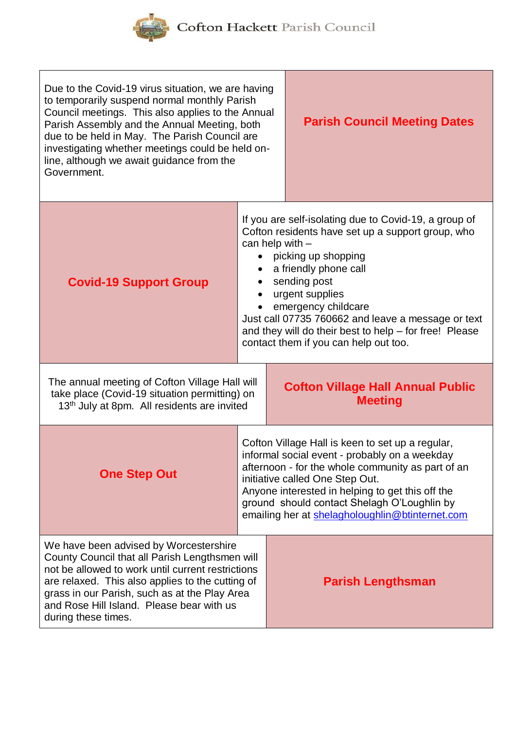

Cofton Hackett Parish Council

| Due to the Covid-19 virus situation, we are having<br>to temporarily suspend normal monthly Parish<br>Council meetings. This also applies to the Annual<br>Parish Assembly and the Annual Meeting, both<br>due to be held in May. The Parish Council are<br>investigating whether meetings could be held on-<br>line, although we await guidance from the<br>Government. | <b>Parish Council Meeting Dates</b> |                                                                                                                                                                                                                                                                                                                                                                                                    |
|--------------------------------------------------------------------------------------------------------------------------------------------------------------------------------------------------------------------------------------------------------------------------------------------------------------------------------------------------------------------------|-------------------------------------|----------------------------------------------------------------------------------------------------------------------------------------------------------------------------------------------------------------------------------------------------------------------------------------------------------------------------------------------------------------------------------------------------|
| <b>Covid-19 Support Group</b>                                                                                                                                                                                                                                                                                                                                            |                                     | If you are self-isolating due to Covid-19, a group of<br>Cofton residents have set up a support group, who<br>can help with $-$<br>picking up shopping<br>a friendly phone call<br>sending post<br>urgent supplies<br>emergency childcare<br>Just call 07735 760662 and leave a message or text<br>and they will do their best to help - for free! Please<br>contact them if you can help out too. |
| The annual meeting of Cofton Village Hall will<br>take place (Covid-19 situation permitting) on<br>13 <sup>th</sup> July at 8pm. All residents are invited                                                                                                                                                                                                               |                                     | <b>Cofton Village Hall Annual Public</b><br><b>Meeting</b>                                                                                                                                                                                                                                                                                                                                         |
| <b>One Step Out</b>                                                                                                                                                                                                                                                                                                                                                      |                                     | Cofton Village Hall is keen to set up a regular,<br>informal social event - probably on a weekday<br>afternoon - for the whole community as part of an<br>initiative called One Step Out.<br>Anyone interested in helping to get this off the<br>ground should contact Shelagh O'Loughlin by<br>emailing her at shelagholoughlin@btinternet.com                                                    |
| We have been advised by Worcestershire<br>County Council that all Parish Lengthsmen will<br>not be allowed to work until current restrictions<br>are relaxed. This also applies to the cutting of<br>grass in our Parish, such as at the Play Area<br>and Rose Hill Island. Please bear with us<br>during these times.                                                   |                                     | <b>Parish Lengthsman</b>                                                                                                                                                                                                                                                                                                                                                                           |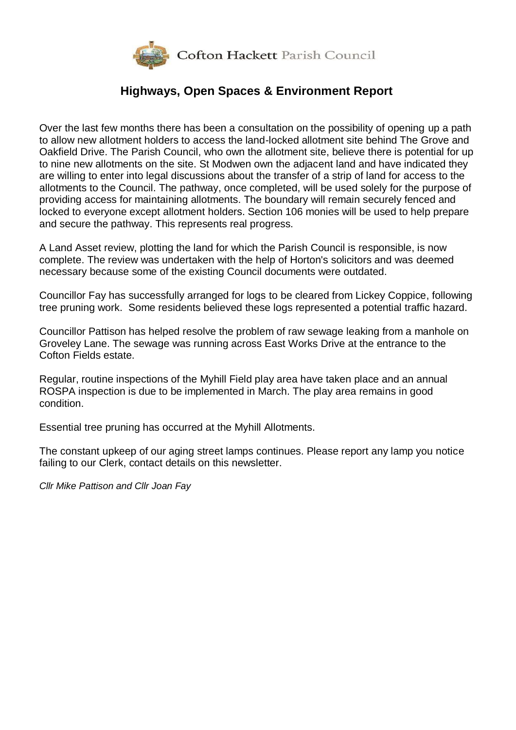

## **Highways, Open Spaces & Environment Report**

Over the last few months there has been a consultation on the possibility of opening up a path to allow new allotment holders to access the land-locked allotment site behind The Grove and Oakfield Drive. The Parish Council, who own the allotment site, believe there is potential for up to nine new allotments on the site. St Modwen own the adjacent land and have indicated they are willing to enter into legal discussions about the transfer of a strip of land for access to the allotments to the Council. The pathway, once completed, will be used solely for the purpose of providing access for maintaining allotments. The boundary will remain securely fenced and locked to everyone except allotment holders. Section 106 monies will be used to help prepare and secure the pathway. This represents real progress.

A Land Asset review, plotting the land for which the Parish Council is responsible, is now complete. The review was undertaken with the help of Horton's solicitors and was deemed necessary because some of the existing Council documents were outdated.

Councillor Fay has successfully arranged for logs to be cleared from Lickey Coppice, following tree pruning work. Some residents believed these logs represented a potential traffic hazard.

Councillor Pattison has helped resolve the problem of raw sewage leaking from a manhole on Groveley Lane. The sewage was running across East Works Drive at the entrance to the Cofton Fields estate.

Regular, routine inspections of the Myhill Field play area have taken place and an annual ROSPA inspection is due to be implemented in March. The play area remains in good condition.

Essential tree pruning has occurred at the Myhill Allotments.

The constant upkeep of our aging street lamps continues. Please report any lamp you notice failing to our Clerk, contact details on this newsletter.

*Cllr Mike Pattison and Cllr Joan Fay*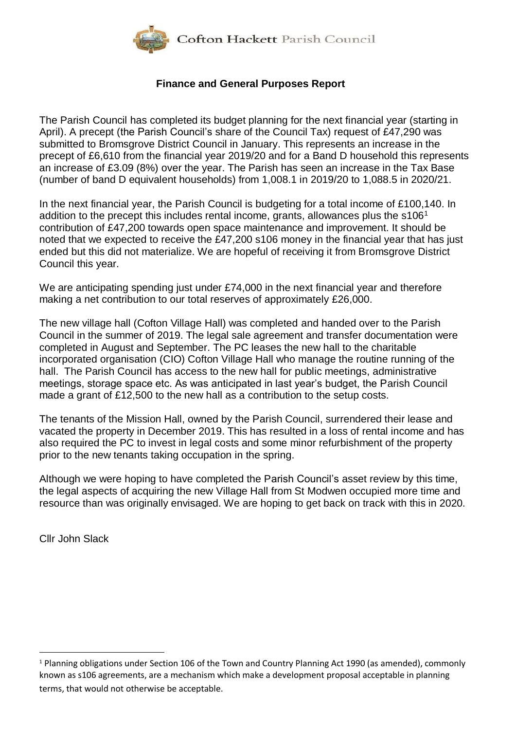

### **Finance and General Purposes Report**

The Parish Council has completed its budget planning for the next financial year (starting in April). A precept (the Parish Council's share of the Council Tax) request of £47,290 was submitted to Bromsgrove District Council in January. This represents an increase in the precept of £6,610 from the financial year 2019/20 and for a Band D household this represents an increase of £3.09 (8%) over the year. The Parish has seen an increase in the Tax Base (number of band D equivalent households) from 1,008.1 in 2019/20 to 1,088.5 in 2020/21.

In the next financial year, the Parish Council is budgeting for a total income of £100,140. In addition to the precept this includes rental income, grants, allowances plus the  $s106<sup>1</sup>$ contribution of £47,200 towards open space maintenance and improvement. It should be noted that we expected to receive the £47,200 s106 money in the financial year that has just ended but this did not materialize. We are hopeful of receiving it from Bromsgrove District Council this year.

We are anticipating spending just under £74,000 in the next financial year and therefore making a net contribution to our total reserves of approximately £26,000.

The new village hall (Cofton Village Hall) was completed and handed over to the Parish Council in the summer of 2019. The legal sale agreement and transfer documentation were completed in August and September. The PC leases the new hall to the charitable incorporated organisation (CIO) Cofton Village Hall who manage the routine running of the hall. The Parish Council has access to the new hall for public meetings, administrative meetings, storage space etc. As was anticipated in last year's budget, the Parish Council made a grant of £12,500 to the new hall as a contribution to the setup costs.

The tenants of the Mission Hall, owned by the Parish Council, surrendered their lease and vacated the property in December 2019. This has resulted in a loss of rental income and has also required the PC to invest in legal costs and some minor refurbishment of the property prior to the new tenants taking occupation in the spring.

Although we were hoping to have completed the Parish Council's asset review by this time, the legal aspects of acquiring the new Village Hall from St Modwen occupied more time and resource than was originally envisaged. We are hoping to get back on track with this in 2020.

Cllr John Slack

<u>.</u>

<sup>&</sup>lt;sup>1</sup> Planning obligations under Section 106 of the Town and Country Planning Act 1990 (as amended), commonly known as s106 agreements, are a mechanism which make a development proposal acceptable in planning terms, that would not otherwise be acceptable.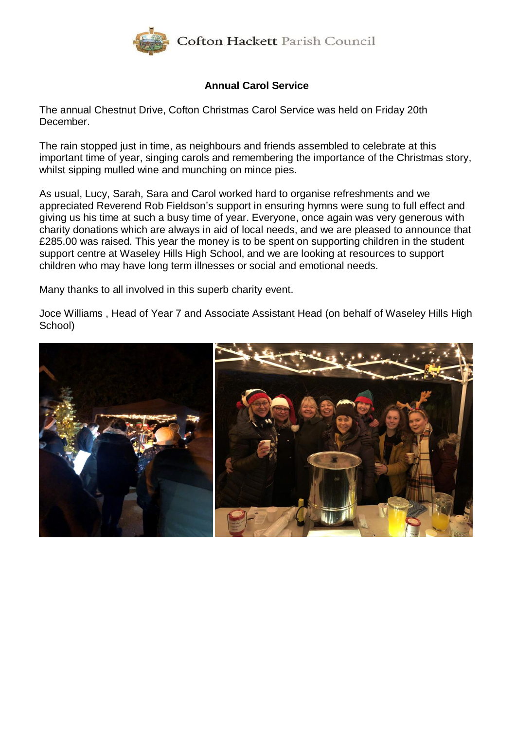

### **Annual Carol Service**

The annual Chestnut Drive, Cofton Christmas Carol Service was held on Friday 20th December.

The rain stopped just in time, as neighbours and friends assembled to celebrate at this important time of year, singing carols and remembering the importance of the Christmas story, whilst sipping mulled wine and munching on mince pies.

As usual, Lucy, Sarah, Sara and Carol worked hard to organise refreshments and we appreciated Reverend Rob Fieldson's support in ensuring hymns were sung to full effect and giving us his time at such a busy time of year. Everyone, once again was very generous with charity donations which are always in aid of local needs, and we are pleased to announce that £285.00 was raised. This year the money is to be spent on supporting children in the student support centre at Waseley Hills High School, and we are looking at resources to support children who may have long term illnesses or social and emotional needs.

Many thanks to all involved in this superb charity event.

Joce Williams , Head of Year 7 and Associate Assistant Head (on behalf of Waseley Hills High School)

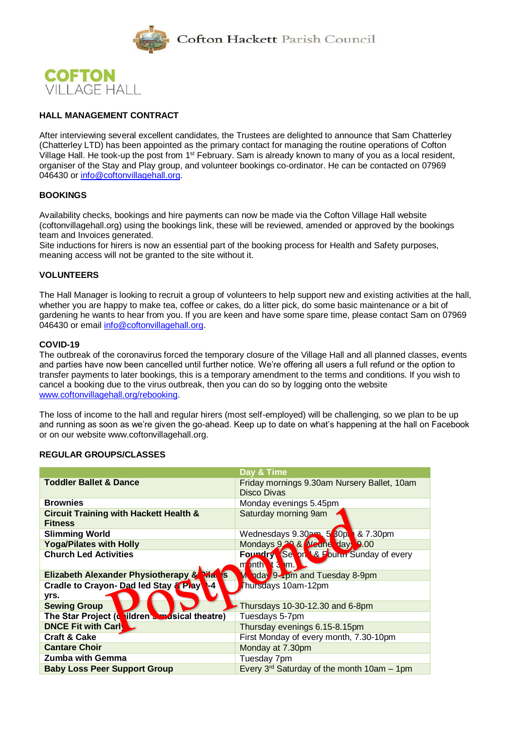



#### **HALL MANAGEMENT CONTRACT**

After interviewing several excellent candidates, the Trustees are delighted to announce that Sam Chatterley (Chatterley LTD) has been appointed as the primary contact for managing the routine operations of Cofton Village Hall. He took-up the post from 1<sup>st</sup> February. Sam is already known to many of you as a local resident, organiser of the Stay and Play group, and volunteer bookings co-ordinator. He can be contacted on 07969 046430 or [info@coftonvillagehall.org.](mailto:info@coftonvillagehall.org)

#### **BOOKINGS**

Availability checks, bookings and hire payments can now be made via the Cofton Village Hall website (coftonvillagehall.org) using the bookings link, these will be reviewed, amended or approved by the bookings team and Invoices generated.

Site inductions for hirers is now an essential part of the booking process for Health and Safety purposes, meaning access will not be granted to the site without it.

#### **VOLUNTEERS**

The Hall Manager is looking to recruit a group of volunteers to help support new and existing activities at the hall, whether you are happy to make tea, coffee or cakes, do a litter pick, do some basic maintenance or a bit of gardening he wants to hear from you. If you are keen and have some spare time, please contact Sam on 07969 046430 or email [info@coftonvillagehall.org.](mailto:info@coftonvillagehall.org)

#### **COVID-19**

The outbreak of the coronavirus forced the temporary closure of the Village Hall and all planned classes, events and parties have now been cancelled until further notice. We're offering all users a full refund or the option to transfer payments to later bookings, this is a temporary amendment to the terms and conditions. If you wish to cancel a booking due to the virus outbreak, then you can do so by logging onto the website [www.coftonvillagehall.org/rebooking.](http://www.coftonvillagehall.org/rebooking)

The loss of income to the hall and regular hirers (most self-employed) will be challenging, so we plan to be up and running as soon as we're given the go-ahead. Keep up to date on what's happening at the hall on Facebook or on our website www.coftonvillagehall.org.

#### **REGULAR GROUPS/CLASSES**

|                                                                     | Day & Time                                                           |
|---------------------------------------------------------------------|----------------------------------------------------------------------|
| <b>Toddler Ballet &amp; Dance</b>                                   | Friday mornings 9.30am Nursery Ballet, 10am<br><b>Disco Divas</b>    |
| <b>Brownies</b>                                                     | Monday evenings 5.45pm                                               |
| <b>Circuit Training with Hackett Health &amp;</b><br><b>Fitness</b> | Saturday morning 9am                                                 |
| <b>Slimming World</b>                                               | Wednesdays 9.30am 5 <sup>6</sup> 80p<br>8.7.30pm                     |
| <b>Yoga/Pilates with Holly</b>                                      | Mondays 9.29 & Meune days 9.00                                       |
| <b>Church Led Activities</b>                                        | <b>Foundry Se on &amp; Fourm Sunday of every</b><br>m bnth t 3<br>m. |
| <b>Elizabeth Alexander Physiotherapy &amp; Pilat</b><br><b>I</b> S  | Monday 9-rpm and Tuesday 8-9pm                                       |
| Cradle to Crayon- Dad led Stay & Play<br>$\blacksquare$             | hursdays 10am-12pm                                                   |
| yrs.                                                                |                                                                      |
| <b>Sewing Group</b>                                                 | Thursdays 10-30-12.30 and 6-8pm                                      |
| The Star Project (cuildren standsical theatre)                      | Tuesdays 5-7pm                                                       |
| <b>DNCE Fit with Carl</b>                                           | Thursday evenings 6.15-8.15pm                                        |
| <b>Craft &amp; Cake</b>                                             | First Monday of every month, 7.30-10pm                               |
| <b>Cantare Choir</b>                                                | Monday at 7.30pm                                                     |
| <b>Zumba with Gemma</b>                                             | Tuesday 7pm                                                          |
| <b>Baby Loss Peer Support Group</b>                                 | Every $3^{rd}$ Saturday of the month 10am $-$ 1pm                    |